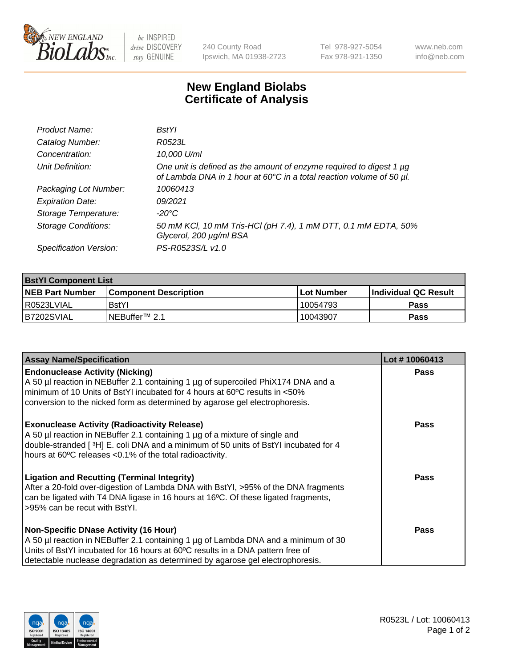

 $be$  INSPIRED drive DISCOVERY stay GENUINE

240 County Road Ipswich, MA 01938-2723 Tel 978-927-5054 Fax 978-921-1350 www.neb.com info@neb.com

## **New England Biolabs Certificate of Analysis**

| Product Name:              | BstYl                                                                                                                                            |
|----------------------------|--------------------------------------------------------------------------------------------------------------------------------------------------|
| Catalog Number:            | R0523L                                                                                                                                           |
| Concentration:             | 10,000 U/ml                                                                                                                                      |
| Unit Definition:           | One unit is defined as the amount of enzyme required to digest 1 $\mu$ g<br>of Lambda DNA in 1 hour at 60°C in a total reaction volume of 50 µl. |
| Packaging Lot Number:      | 10060413                                                                                                                                         |
| <b>Expiration Date:</b>    | 09/2021                                                                                                                                          |
| Storage Temperature:       | -20°C                                                                                                                                            |
| <b>Storage Conditions:</b> | 50 mM KCl, 10 mM Tris-HCl (pH 7.4), 1 mM DTT, 0.1 mM EDTA, 50%<br>Glycerol, 200 µg/ml BSA                                                        |
| Specification Version:     | PS-R0523S/L v1.0                                                                                                                                 |

| <b>BstYI Component List</b> |                            |              |                             |  |  |
|-----------------------------|----------------------------|--------------|-----------------------------|--|--|
| <b>NEB Part Number</b>      | l Component Description    | l Lot Number | <b>Individual QC Result</b> |  |  |
| I R0523LVIAL                | <b>BstYI</b>               | 10054793     | Pass                        |  |  |
| B7202SVIAL                  | INEBuffer <sup>™</sup> 2.1 | 10043907     | Pass                        |  |  |

| <b>Assay Name/Specification</b>                                                                                                                                                                                                                                                                       | Lot #10060413 |
|-------------------------------------------------------------------------------------------------------------------------------------------------------------------------------------------------------------------------------------------------------------------------------------------------------|---------------|
| <b>Endonuclease Activity (Nicking)</b><br>A 50 µl reaction in NEBuffer 2.1 containing 1 µg of supercoiled PhiX174 DNA and a<br>minimum of 10 Units of BstYI incubated for 4 hours at 60°C results in <50%<br>conversion to the nicked form as determined by agarose gel electrophoresis.              | <b>Pass</b>   |
| <b>Exonuclease Activity (Radioactivity Release)</b><br>A 50 µl reaction in NEBuffer 2.1 containing 1 µg of a mixture of single and<br>double-stranded [3H] E. coli DNA and a minimum of 50 units of BstYl incubated for 4<br>hours at 60°C releases <0.1% of the total radioactivity.                 | <b>Pass</b>   |
| <b>Ligation and Recutting (Terminal Integrity)</b><br>After a 20-fold over-digestion of Lambda DNA with BstYI, >95% of the DNA fragments<br>can be ligated with T4 DNA ligase in 16 hours at 16°C. Of these ligated fragments,<br>>95% can be recut with BstYI.                                       | Pass          |
| <b>Non-Specific DNase Activity (16 Hour)</b><br>A 50 µl reaction in NEBuffer 2.1 containing 1 µg of Lambda DNA and a minimum of 30<br>Units of BstYI incubated for 16 hours at 60°C results in a DNA pattern free of<br>detectable nuclease degradation as determined by agarose gel electrophoresis. | Pass          |